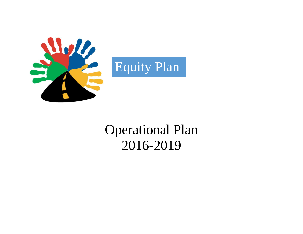



# Operational Plan 2016-2019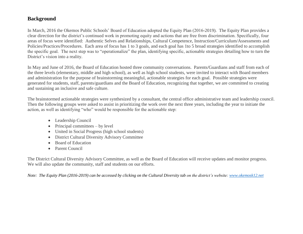# **Background**

In March, 2016 the Okemos Public Schools' Board of Education adopted the Equity Plan (2016-2019). The Equity Plan provides a clear direction for the district's continued work in promoting equity and actions that are free from discrimination. Specifically, four areas of focus were identified: Authentic Selves and Relationships, Cultural Competence, Instruction/Curriculum/Assessments and Policies/Practices/Procedures. Each area of focus has 1 to 3 goals, and each goal has 1to 5 broad strategies identified to accomplish the specific goal. The next step was to "operationalize" the plan, identifying specific, actionable strategies detailing how to turn the District's vision into a reality.

In May and June of 2016, the Board of Education hosted three community conversations. Parents/Guardians and staff from each of the three levels (elementary, middle and high school), as well as high school students, were invited to interact with Board members and administration for the purpose of brainstorming meaningful, actionable strategies for each goal. Possible strategies were generated for students, staff, parents/guardians and the Board of Education, recognizing that together, we are committed to creating and sustaining an inclusive and safe culture.

The brainstormed actionable strategies were synthesized by a consultant, the central office administrative team and leadership council. Then the following groups were asked to assist in prioritizing the work over the next three years, including the year to initiate the action, as well as identifying "who" would be responsible for the actionable step:

- Leadership Council
- $\bullet$  Principal committees by level
- United in Social Progress (high school students)
- District Cultural Diversity Advisory Committee
- Board of Education
- Parent Council

The District Cultural Diversity Advisory Committee, as well as the Board of Education will receive updates and monitor progress. We will also update the community, staff and students on our efforts.

*Note: The Equity Plan (2016-2019) can be accessed by clicking on the Cultural Diversity tab on the district's website: [www.okemosk12.net](http://www.okemosk12.net/)*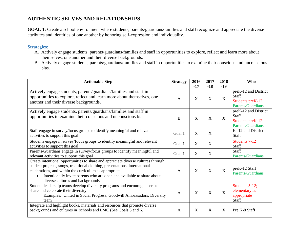# **AUTHENTIC SELVES AND RELATIONSHIPS**

**GOAL 1:** Create a school environment where students, parents/guardians/families and staff recognize and appreciate the diverse attributes and identities of one another by honoring self-expression and individuality.

- A. Actively engage students, parents/guardians/families and staff in opportunities to explore, reflect and learn more about themselves, one another and their diverse backgrounds.
- B. Actively engage students, parents/guardians/families and staff in opportunities to examine their conscious and unconscious bias.

| <b>Actionable Step</b>                                                                                                                                                                                                                                                                                                                    | <b>Strategy</b> | 2016<br>$-17$             | 2017<br>$-18$ | 2018<br>$-19$ | <b>Who</b>                                                                    |
|-------------------------------------------------------------------------------------------------------------------------------------------------------------------------------------------------------------------------------------------------------------------------------------------------------------------------------------------|-----------------|---------------------------|---------------|---------------|-------------------------------------------------------------------------------|
| Actively engage students, parents/guardians/families and staff in<br>opportunities to explore, reflect and learn more about themselves, one<br>another and their diverse backgrounds.                                                                                                                                                     | A               | $\mathbf{X}$              | X             | X             | preK-12 and District<br><b>Staff</b><br>Students preK-12<br>Parents/Guardians |
| Actively engage students, parents/guardians/families and staff in<br>opportunities to examine their conscious and unconscious bias.                                                                                                                                                                                                       | B               | X                         | X             | $\mathbf{X}$  | preK-12 and District<br><b>Staff</b><br>Students preK-12<br>Parents/Guardians |
| Staff engage in survey/focus groups to identify meaningful and relevant<br>activities to support this goal                                                                                                                                                                                                                                | Goal 1          | $\boldsymbol{\mathrm{X}}$ | X             |               | K-12 and District<br><b>Staff</b>                                             |
| Students engage in survey/focus groups to identify meaningful and relevant<br>activities to support this goal                                                                                                                                                                                                                             | Goal 1          | X                         | X             |               | Students 7-12<br>Staff                                                        |
| Parents/Guardians engage in survey/focus groups to identify meaningful and<br>relevant activities to support this goal                                                                                                                                                                                                                    | Goal 1          | X                         | X             |               | Staff<br>Parents/Guardians                                                    |
| Create intentional opportunities to share and appreciate diverse cultures through<br>student projects, songs, traditional clothing, presentations, international<br>celebrations, and within the curriculum as appropriate.<br>Intentionally invite parents who are open and available to share about<br>diverse cultures and backgrounds | A               | X                         | X             | X             | preK-12 Staff<br>Parents/Guardians                                            |
| Student leadership teams develop diversity programs and encourage peers to<br>share and celebrate their diversity<br>Examples: United in Social Progress; Goodwill Ambassadors, Diversity<br>team                                                                                                                                         | A               | $\mathbf{X}$              | X             | X             | Students 5-12;<br>elementary as<br>appropriate<br>Staff                       |
| Integrate and highlight books, materials and resources that promote diverse<br>backgrounds and cultures in schools and LMC (See Goals 3 and 6)                                                                                                                                                                                            | A               | X                         | X             | X             | Pre K-8 Staff                                                                 |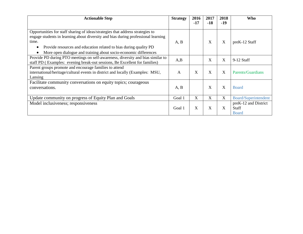| <b>Actionable Step</b>                                                                                                                                                                                                                                                                                                | <b>Strategy</b> | 2016<br>$-17$ | 2017<br>$-18$ | 2018<br>$-19$ | Who                                                  |
|-----------------------------------------------------------------------------------------------------------------------------------------------------------------------------------------------------------------------------------------------------------------------------------------------------------------------|-----------------|---------------|---------------|---------------|------------------------------------------------------|
| Opportunities for staff sharing of ideas/strategies that address strategies to<br>engage students in learning about diversity and bias during professional learning<br>time.<br>Provide resources and education related to bias during quality PD<br>More open dialogue and training about socio-economic differences | A, B            |               | X             | X             | preK-12 Staff                                        |
| Provide PD during PTO meetings on self-awareness, diversity and bias similar to<br>staff PD (Examples: evening break-out sessions, Be Excellent for families)                                                                                                                                                         | A,B             |               | X             | X             | $9-12$ Staff                                         |
| Parent groups promote and encourage families to attend<br>international/heritage/cultural events in district and locally (Examples: MSU,<br>Lansing                                                                                                                                                                   | A               | X             | X             | X             | Parents/Guardians                                    |
| Facilitate community conversations on equity topics; courageous<br>conversations.                                                                                                                                                                                                                                     | A, B            |               | X             | X             | <b>Board</b>                                         |
| Update community on progress of Equity Plan and Goals                                                                                                                                                                                                                                                                 | Goal 1          | X             | X             | X             | Board/Superintendent                                 |
| Model inclusiveness; responsiveness                                                                                                                                                                                                                                                                                   | Goal 1          | X             | X             | X             | preK-12 and District<br><b>Staff</b><br><b>Board</b> |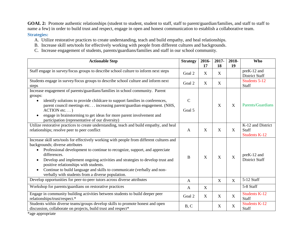GOAL 2: Promote authentic relationships (student to student, student to staff, staff to parent/guardian/families, and staff to staff to name a few) in order to build trust and respect, engage in open and honest communication to establish a collaborative team.

#### **Strategies:**

- A. Utilize restorative practices to create understanding, teach and build empathy, and heal relationships.
- B. Increase skill sets/tools for effectively working with people from different cultures and backgrounds.
- C. Increase engagement of students, parents/guardians/families and staff in our school community.

| <b>Actionable Step</b>                                                                                                                                                                                                                                                                                                                                                                                                                                                              | <b>Strategy</b>         | 2016-<br>17 | 2017-<br>18 | 2018-<br>19 | Who                                                       |
|-------------------------------------------------------------------------------------------------------------------------------------------------------------------------------------------------------------------------------------------------------------------------------------------------------------------------------------------------------------------------------------------------------------------------------------------------------------------------------------|-------------------------|-------------|-------------|-------------|-----------------------------------------------------------|
| Staff engage in survey/focus groups to describe school culture to inform next steps                                                                                                                                                                                                                                                                                                                                                                                                 | Goal 2                  | X           | X           |             | preK-12 and<br><b>District Staff</b>                      |
| Students engage in survey/focus groups to describe school culture and inform next<br>steps                                                                                                                                                                                                                                                                                                                                                                                          | Goal 2                  | X           | X           |             | Students 5-12<br>Staff                                    |
| Increase engagement of parents/guardians/families in school community. Parent<br>groups:<br>identify solutions to provide childcare to support families in conferences,<br>$\bullet$<br>parent council meetings etc increasing parent/guardian engagement. (NHS,<br>$ACTION$ etc)<br>engage in brainstorming to get ideas for more parent involvement and<br>participation (representative of our diversity)                                                                        | $\mathcal{C}$<br>Goal 5 |             | X           | $\mathbf X$ | Parents/Guardians                                         |
| Utilize restorative practices to create understanding, teach and build empathy, and heal<br>relationships; resolve peer to peer conflict                                                                                                                                                                                                                                                                                                                                            | $\mathsf{A}$            | X           | X           | X           | K-12 and District<br><b>Staff</b><br><b>Students K-12</b> |
| Increase skill sets/tools for effectively working with people from different cultures and<br>backgrounds; diverse attributes<br>Professional development to continue to recognize, support, and appreciate<br>differences.<br>Develop and implement ongoing activities and strategies to develop trust and<br>positive relationships with students.<br>Continue to build language and skills to communicate (verbally and non-<br>verbally with students from a diverse population. | B                       | X           | X           | X           | preK-12 and<br><b>District Staff</b>                      |
| Develop opportunities for peer-to-peer tutors across diverse attributes                                                                                                                                                                                                                                                                                                                                                                                                             | $\mathbf{A}$            |             | X           | X           | 5-12 Staff                                                |
| Workshop for parents/guardians on restorative practices                                                                                                                                                                                                                                                                                                                                                                                                                             | A                       | X           |             |             | 5-8 Staff                                                 |
| Engage in community building activities between students to build deeper peer<br>relationships/trust/respect.*                                                                                                                                                                                                                                                                                                                                                                      | Goal 2                  | X           | X           | X           | <b>Students K-12</b><br><b>Staff</b>                      |
| Students within diverse teams/groups develop skills to promote honest and open<br>discussion, collaborate on projects, build trust and respect*                                                                                                                                                                                                                                                                                                                                     | B, C                    |             | X           | $\mathbf X$ | <b>Students K-12</b><br><b>Staff</b>                      |

\*age appropriate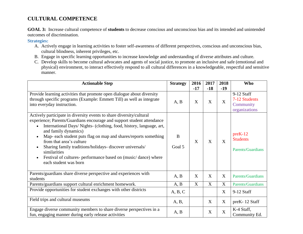# **CULTURAL COMPETENCE**

**GOAL 3:** Increase cultural competence of **students** to decrease conscious and unconscious bias and its intended and unintended outcomes of discrimination.

- A. Actively engage in learning activities to foster self-awareness of different perspectives, conscious and unconscious bias, cultural blindness, inherent privileges, etc.
- B. Engage in specific learning opportunities to increase knowledge and understanding of diverse attributes and culture.
- C. Develop skills to become cultural advocates and agents of social justice, to promote an inclusive and safe (emotional and physical) environment, to interact effectively respond to all cultural differences in a knowledgeable, respectful and sensitive manner.

| <b>Actionable Step</b>                                                                                                                                                                                                                                                                                                                                                                                                                                                                                                            | <b>Strategy</b> | 2016<br>$-17$ | 2017<br>$-18$ | 2018<br>$-19$ | <b>Who</b>                                                |
|-----------------------------------------------------------------------------------------------------------------------------------------------------------------------------------------------------------------------------------------------------------------------------------------------------------------------------------------------------------------------------------------------------------------------------------------------------------------------------------------------------------------------------------|-----------------|---------------|---------------|---------------|-----------------------------------------------------------|
| Provide learning activities that promote open dialogue about diversity<br>through specific programs (Example: Emmett Till) as well as integrate<br>into everyday instruction.                                                                                                                                                                                                                                                                                                                                                     | A, B            | X             | X             | X             | 9-12 Staff<br>7-12 Students<br>Community<br>organizations |
| Actively participate in diversity events to share diversity/cultural<br>experience; Parents/Guardians encourage and support student attendance<br>International Days/ Nights- (clothing, food, history, language, art,<br>and family dynamics)<br>Map- each student puts flag on map and shares/reports something<br>from that area's culture<br>Sharing family traditions/holidays- discover universals/<br>similarities<br>Festival of cultures- performance based on (music/dance) where<br>$\bullet$<br>each student was born | B<br>Goal 5     | X             | X             | X             | $preK-12$<br><b>Students</b><br><b>Parents/Guardians</b>  |
| Parents/guardians share diverse perspective and experiences with<br>students                                                                                                                                                                                                                                                                                                                                                                                                                                                      | A, B            | X             | X             | X             | Parents/Guardians                                         |
| Parents/guardians support cultural enrichment homework.                                                                                                                                                                                                                                                                                                                                                                                                                                                                           | A, B            | X             | X             | X             | Parents/Guardians                                         |
| Provide opportunities for student exchanges with other districts                                                                                                                                                                                                                                                                                                                                                                                                                                                                  | A, B, C         |               |               | X             | 9-12 Staff                                                |
| Field trips and cultural museums                                                                                                                                                                                                                                                                                                                                                                                                                                                                                                  | A, B,           |               | X             | X             | preK-12 Staff                                             |
| Engage diverse community members to share diverse perspectives in a<br>fun, engaging manner during early release activities                                                                                                                                                                                                                                                                                                                                                                                                       | A, B            |               | X             | X             | K-4 Staff,<br>Community Ed.                               |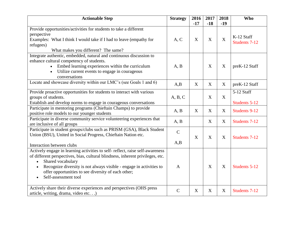| <b>Actionable Step</b>                                                                                                                                                                                                                                                                                                                                 | <b>Strategy</b>    | 2016<br>$-17$ | 2017<br>$-18$ | 2018<br>$-19$ | <b>Who</b>                         |
|--------------------------------------------------------------------------------------------------------------------------------------------------------------------------------------------------------------------------------------------------------------------------------------------------------------------------------------------------------|--------------------|---------------|---------------|---------------|------------------------------------|
| Provide opportunities/activities for students to take a different<br>perspective<br>Examples: What I think I would take if I had to leave (empathy for<br>refugees)<br>What makes you different? The same?                                                                                                                                             | A, C               | X             | X             | X             | K-12 Staff<br><b>Students 7-12</b> |
| Integrate authentic, embedded, natural and continuous discussion to<br>enhance cultural competency of students.<br>Embed learning experiences within the curriculum<br>$\bullet$<br>Utilize current events to engage in courageous<br>$\bullet$<br>conversations                                                                                       | A, B               |               | X             | X             | preK-12 Staff                      |
| Locate and showcase diversity within our LMC's (see Goals 1 and 6)                                                                                                                                                                                                                                                                                     | A,B                | X             | X             | X             | preK-12 Staff                      |
| Provide proactive opportunities for students to interact with various<br>groups of students.<br>Establish and develop norms to engage in courageous conversations                                                                                                                                                                                      | A, B, C            |               | X             | X             | 5-12 Staff<br>Students 5-12        |
| Participate in mentoring programs (Chieftain Champs) to provide<br>positive role models to our younger students                                                                                                                                                                                                                                        | A, B               | X             | X             | X             | <b>Students 9-12</b>               |
| Participate in diverse community service volunteering experiences that<br>are inclusive of all groups                                                                                                                                                                                                                                                  | A, B               |               | X             | X             | <b>Students 7-12</b>               |
| Participate in student groups/clubs such as PRISM (GSA), Black Student<br>Union (BSU), United in Social Progress, Chieftain Nation etc.<br>Interaction between clubs                                                                                                                                                                                   | $\mathbf C$<br>A,B | X             | X             | X             | Students 7-12                      |
| Actively engage in learning activities to self-reflect, raise self-awareness<br>of different perspectives, bias, cultural blindness, inherent privileges, etc.<br>Shared vocabulary<br>Recognize diversity is not always visible - engage in activities to<br>offer opportunities to see diversity of each other;<br>Self-assessment tool<br>$\bullet$ | $\mathbf{A}$       |               | X             | X             | Students 5-12                      |
| Actively share their diverse experiences and perspectives (OHS press<br>article, writing, drama, video etc)                                                                                                                                                                                                                                            | $\mathbf C$        | X             | X             | X             | Students 7-12                      |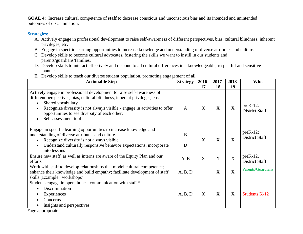**GOAL 4:** Increase cultural competence of **staff** to decrease conscious and unconscious bias and its intended and unintended outcomes of discrimination.

#### **Strategies:**

- A. Actively engage in professional development to raise self-awareness of different perspectives, bias, cultural blindness, inherent privileges, etc.
- B. Engage in specific learning opportunities to increase knowledge and understanding of diverse attributes and culture.
- C. Develop skills to become cultural advocates, fostering the skills we want to instill in our students and parents/guardians/families.
- D. Develop skills to interact effectively and respond to all cultural differences in a knowledgeable, respectful and sensitive manner.
- E. Develop skills to teach our diverse student population, promoting engagement of all.

| <b>Actionable Step</b>                                                                                                                                                                                                                                                                                                           | <b>Strategy</b> | 2016- | 2017-        | 2018- | <b>Who</b>                           |
|----------------------------------------------------------------------------------------------------------------------------------------------------------------------------------------------------------------------------------------------------------------------------------------------------------------------------------|-----------------|-------|--------------|-------|--------------------------------------|
|                                                                                                                                                                                                                                                                                                                                  |                 | 17    | 18           | 19    |                                      |
| Actively engage in professional development to raise self-awareness of<br>different perspectives, bias, cultural blindness, inherent privileges, etc.<br>Shared vocabulary<br>Recognize diversity is not always visible - engage in activities to offer<br>opportunities to see diversity of each other;<br>Self-assessment tool | $\mathbf{A}$    | X     | $\mathbf{X}$ | X     | $preK-12$ ;<br><b>District Staff</b> |
| Engage in specific learning opportunities to increase knowledge and<br>understanding of diverse attributes and culture.<br>Recognize diversity is not always visible<br>Understand culturally responsive behavior expectations; incorporate<br>into lessons                                                                      | B<br>D          | X     | X            | X     | $preK-12$ ;<br><b>District Staff</b> |
| Ensure new staff, as well as interns are aware of the Equity Plan and our<br>efforts                                                                                                                                                                                                                                             | A, B            | X     | X            | X     | $preK-12$ ,<br><b>District Staff</b> |
| Work with staff to develop relationships that model cultural competence;<br>enhance their knowledge and build empathy; facilitate development of staff<br>skills (Example: workshops)                                                                                                                                            | A, B, D         |       | X            | X     | Parents/Guardians                    |
| Students engage in open, honest communication with staff *<br>Discrimination<br>Experiences<br>Concerns                                                                                                                                                                                                                          | A, B, D         | X     | X            | X     | <b>Students K-12</b>                 |
| Insights and perspectives                                                                                                                                                                                                                                                                                                        |                 |       |              |       |                                      |

\*age appropriate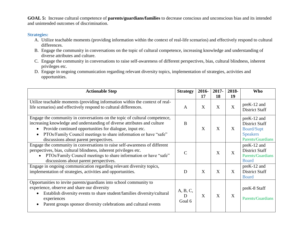**GOAL 5:** Increase cultural competence of **parents/guardians/families** to decrease conscious and unconscious bias and its intended and unintended outcomes of discrimination.

- A. Utilize teachable moments (providing information within the context of real-life scenarios) and effectively respond to cultural differences.
- B. Engage the community in conversations on the topic of cultural competence, increasing knowledge and understanding of diverse attributes and culture.
- C. Engage the community in conversations to raise self-awareness of different perspectives, bias, cultural blindness, inherent privileges etc.
- D. Engage in ongoing communication regarding relevant diversity topics, implementation of strategies, activities and opportunities.

| <b>Actionable Step</b>                                                                                                                                                                                                                                                                                                           | <b>Strategy</b>         | 2016-<br>17 | 2017-<br>18 | 2018-<br>19 | <b>Who</b>                                                                                        |
|----------------------------------------------------------------------------------------------------------------------------------------------------------------------------------------------------------------------------------------------------------------------------------------------------------------------------------|-------------------------|-------------|-------------|-------------|---------------------------------------------------------------------------------------------------|
| Utilize teachable moments (providing information within the context of real-<br>life scenarios) and effectively respond to cultural differences.                                                                                                                                                                                 | $\mathbf{A}$            | X           | X           | X           | preK-12 and<br><b>District Staff</b>                                                              |
| Engage the community in conversations on the topic of cultural competence,<br>increasing knowledge and understanding of diverse attributes and culture<br>Provide continued opportunities for dialogue, input etc.<br>PTOs/Family Council meetings to share information or have "safe"<br>discussions about parent perspectives. | B                       | X           | X           | X           | preK-12 and<br><b>District Staff</b><br><b>Board/Supt</b><br><b>Speakers</b><br>Parents/Guardians |
| Engage the community in conversations to raise self-awareness of different<br>perspectives, bias, cultural blindness, inherent privileges etc.<br>PTOs/Family Council meetings to share information or have "safe"<br>discussions about parent perspectives.                                                                     | $\subset$               |             | X           | X           | preK-12 and<br><b>District Staff</b><br>Parents/Guardians<br><b>Board</b>                         |
| Engage in ongoing communication regarding relevant diversity topics,<br>implementation of strategies, activities and opportunities.                                                                                                                                                                                              | D                       | X           | X           | X           | preK-12 and<br><b>District Staff</b><br><b>Board</b>                                              |
| Opportunities to invite parents/guardians into school community to<br>experience, observe and share our diversity<br>Establish diversity events to share student/families diversity/cultural<br>experiences<br>Parent groups sponsor diversity celebrations and cultural events                                                  | A, B, C,<br>D<br>Goal 6 | X           | X           | X           | preK-8 Staff<br>Parents/Guardians                                                                 |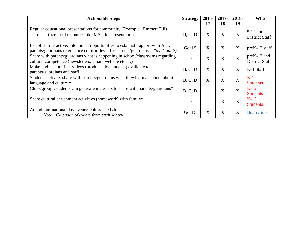| <b>Actionable Steps</b>                                                                                                                                          | <b>Strategy</b> | 2016- | 2017- | 2018- | Who                                  |
|------------------------------------------------------------------------------------------------------------------------------------------------------------------|-----------------|-------|-------|-------|--------------------------------------|
|                                                                                                                                                                  |                 | 17    | 18    | 19    |                                      |
| Regular educational presentations for community (Example: Emmett Till)<br>Utilize local resources like MSU for presentations                                     | B, C, D         | X     | X     | X     | $5-12$ and<br><b>District Staff</b>  |
| Establish interactive, intentional opportunities to establish rapport with ALL<br>parents/guardians to enhance comfort level for parents/guardians. (See Goal 2) | Goal 5          | X     | X     | X     | preK-12 staff                        |
| Share with parents/guardians what is happening in school/classrooms regarding<br>cultural competence (newsletters, email, website etc)                           | D               | X     | X     | X     | preK-12 and<br><b>District Staff</b> |
| Make high school flex videos (produced by students) available to<br>parents/guardians and staff                                                                  | B, C, D         | X     | X     | X     | K-4 Staff                            |
| Students actively share with parents/guardians what they learn at school about<br>language and culture.*                                                         | B, C, D         | X     | X     | X     | $K-12$<br><b>Students</b>            |
| Clubs/groups/students can generate materials to share with parents/guardians*                                                                                    | B, C, D         |       | X     | X     | $K-12$<br><b>Students</b>            |
| Share cultural enrichment activities (homework) with family*                                                                                                     | D               |       | X     | X     | $K-12$<br><b>Students</b>            |
| Attend international day events; cultural activities<br>Note: Calendar of events from each school                                                                | Goal 5          | X     | X     | X     | <b>Board/Supt</b>                    |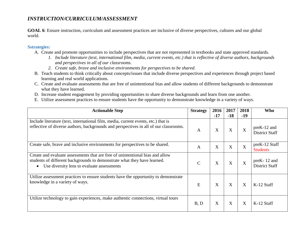# *INSTRUCTION/CURRICULUM/ASSESSMENT*

**GOAL 6**: Ensure instruction, curriculum and assessment practices are inclusive of diverse perspectives, cultures and our global world.

- A. Create and promote opportunities to include perspectives that are not represented in textbooks and state approved standards.
	- *1. Include literature (text, international film, media, current events, etc.) that is reflective of diverse authors, backgrounds and perspectives in all of our classrooms.*
	- *2. Create safe, brave and inclusive environments for perspectives to be shared.*
- B. Teach students to think critically about concepts/issues that include diverse perspectives and experiences through project based learning and real world applications.
- C. Create and evaluate assessments that are free of unintentional bias and allow students of different backgrounds to demonstrate what they have learned.
- D. Increase student engagement by providing opportunities to share diverse backgrounds and learn from one another.
- E. Utilize assessment practices to ensure students have the opportunity to demonstrate knowledge in a variety of ways.

| <b>Actionable Step</b>                                                                                                                                                                                  | <b>Strategy</b> | 2016<br>$-17$ | 2017<br>$-18$ | 2018<br>$-19$  | <b>Who</b>                           |
|---------------------------------------------------------------------------------------------------------------------------------------------------------------------------------------------------------|-----------------|---------------|---------------|----------------|--------------------------------------|
| Include literature (text, international film, media, current events, etc.) that is<br>reflective of diverse authors, backgrounds and perspectives in all of our classrooms.                             | $\mathsf{A}$    | X             | X             | X              | preK-12 and<br><b>District Staff</b> |
| Create safe, brave and inclusive environments for perspectives to be shared.                                                                                                                            | A               | X             | X             | $\overline{X}$ | preK-12 Staff<br><b>Students</b>     |
| Create and evaluate assessments that are free of unintentional bias and allow<br>students of different backgrounds to demonstrate what they have learned.<br>Use diversity lens to evaluate assessments | $\mathsf{C}$    | X             | X             | X              | preK-12 and<br><b>District Staff</b> |
| Utilize assessment practices to ensure students have the opportunity to demonstrate<br>knowledge in a variety of ways.                                                                                  | E               | X             | X             | X              | $K-12$ Staff                         |
| Utilize technology to gain experiences, make authentic connections, virtual tours                                                                                                                       | B, D            | X             | X             | X              | K-12 Staff                           |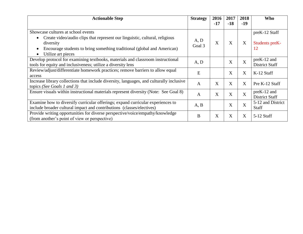| <b>Actionable Step</b>                                                                                                                                   | <b>Strategy</b> | 2016<br>$-17$             | 2017<br>$-18$ | 2018<br>$-19$ | Who                                  |
|----------------------------------------------------------------------------------------------------------------------------------------------------------|-----------------|---------------------------|---------------|---------------|--------------------------------------|
|                                                                                                                                                          |                 |                           |               |               |                                      |
| Showcase cultures at school events                                                                                                                       |                 |                           |               |               | preK-12 Staff                        |
| Create video/audio clips that represent our linguistic, cultural, religious<br>diversity                                                                 | A, D<br>Goal 3  | X                         | X             | X             | Students preK-                       |
| Encourage students to bring something traditional (global and American)                                                                                  |                 |                           |               |               | 12                                   |
| Utilize art pieces                                                                                                                                       |                 |                           |               |               |                                      |
| Develop protocol for examining textbooks, materials and classroom instructional<br>tools for equity and inclusiveness; utilize a diversity lens          | A, D            |                           | X             | X             | preK-12 and<br><b>District Staff</b> |
| Review/adjust/differentiate homework practices; remove barriers to allow equal<br>access                                                                 | E               |                           | X             | X             | K-12 Staff                           |
| Increase library collections that include diversity, languages, and culturally inclusive<br>topics (See Goals 1 and 3)                                   | $\mathbf{A}$    | X                         | X             | X             | Pre K-12 Staff                       |
| Ensure visuals within instructional materials represent diversity (Note: See Goal 8)                                                                     | $\mathbf{A}$    | X                         | X             | X             | preK-12 and<br>District Staff        |
| Examine how to diversify curricular offerings; expand curricular experiences to<br>include broader cultural impact and contributions (classes/electives) | A, B            |                           | X             | X             | 5-12 and District<br>Staff           |
| Provide writing opportunities for diverse perspective/voice/empathy/knowledge<br>(from another's point of view or perspective)                           | B               | $\boldsymbol{\mathrm{X}}$ | X             | X             | $5-12$ Staff                         |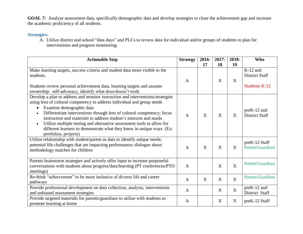GOAL 7: Analyze assessment data, specifically demographic data and develop strategies to close the achievement gap and increase the academic proficiency of all students.

### **Strategies:**

A. Utilize district and school "data days" and PLCs to review data for individual and/or groups of students to plan for interventions and progress monitoring.

| <b>Actionable Step</b>                                                                                                                                                                                                                                                                                                                                                                                                                                                                                                        | <b>Strategy</b> | 2016-        | $2017 -$         | 2018-                     | <b>Who</b>                                                  |
|-------------------------------------------------------------------------------------------------------------------------------------------------------------------------------------------------------------------------------------------------------------------------------------------------------------------------------------------------------------------------------------------------------------------------------------------------------------------------------------------------------------------------------|-----------------|--------------|------------------|---------------------------|-------------------------------------------------------------|
|                                                                                                                                                                                                                                                                                                                                                                                                                                                                                                                               |                 | 17           | 18               | 19                        |                                                             |
| Make learning targets, success criteria and student data more visible to the<br>students.<br>Students review personal achievement data, learning targets and assume                                                                                                                                                                                                                                                                                                                                                           | A               |              | X                | X                         | $K-12$ and<br><b>District Staff</b><br><b>Students K-12</b> |
| ownership: self-advocacy, identify what does/doesn't work                                                                                                                                                                                                                                                                                                                                                                                                                                                                     |                 |              |                  |                           |                                                             |
| Develop a plan to address and monitor instruction and interventions/strategies<br>using lens of cultural competency to address individual and group needs<br>Examine demographic data<br>Differentiate interventions through lens of cultural competency; focus<br>instruction and materials to address student's interests and needs<br>Utilize multiple testing and alternative assessment tools to allow for<br>$\bullet$<br>different learners to demonstrate what they know in unique ways (Ex:<br>portfolios, projects) | A               | X            | X                | X                         | $preK-12$ and<br><b>District Staff</b>                      |
| Utilize relationship with student/parent as data to identify unique needs;<br>potential life challenges that are impacting performance; dialogue about<br>methodology matches for children                                                                                                                                                                                                                                                                                                                                    | A               | X            | X                | X                         | preK-12 Staff<br>Parents/Guardians                          |
| Parents brainstorm strategies and actively offer input to increase purposeful<br>conversations with students about progress/data/learning (PT conferences/PTO<br>meetings)                                                                                                                                                                                                                                                                                                                                                    | $\mathbf{A}$    |              | $\boldsymbol{X}$ | $\boldsymbol{\mathrm{X}}$ | Parents/Guardians                                           |
| Re-think "achievement" to be more inclusive of diverse life and career<br>pathways                                                                                                                                                                                                                                                                                                                                                                                                                                            | A               | $\mathbf{X}$ | X                | X                         | Parents/Guardians                                           |
| Provide professional development on data collection, analysis, interventions<br>and unbiased assessment strategies                                                                                                                                                                                                                                                                                                                                                                                                            | A               |              | X                | $\mathbf X$               | preK-12 and<br>District Staff                               |
| Provide targeted materials for parents/guardians to utilize with students to<br>promote learning at home                                                                                                                                                                                                                                                                                                                                                                                                                      | A               |              | X                | X                         | preK-12 Staff                                               |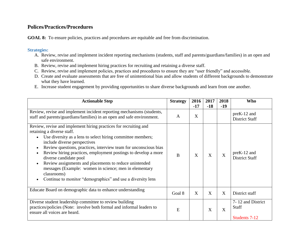## **Polices/Practices/Procedures**

GOAL 8: To ensure policies, practices and procedures are equitable and free from discrimination.

- A. Review, revise and implement incident reporting mechanisms (students, staff and parents/guardians/families) in an open and safe environment.
- B. Review, revise and implement hiring practices for recruiting and retaining a diverse staff.
- C. Review, revise and implement policies, practices and procedures to ensure they are "user friendly" and accessible.
- D. Create and evaluate assessments that are free of unintentional bias and allow students of different backgrounds to demonstrate what they have learned.
- E. Increase student engagement by providing opportunities to share diverse backgrounds and learn from one another.

| <b>Actionable Step</b>                                                                                                                                                                                                                                                                                                                                                                                                                                                                                                                                          | <b>Strategy</b> | 2016<br>$-17$ | 2017<br>$-18$ | 2018<br>$-19$ | <b>Who</b>                                         |
|-----------------------------------------------------------------------------------------------------------------------------------------------------------------------------------------------------------------------------------------------------------------------------------------------------------------------------------------------------------------------------------------------------------------------------------------------------------------------------------------------------------------------------------------------------------------|-----------------|---------------|---------------|---------------|----------------------------------------------------|
| Review, revise and implement incident reporting mechanisms (students,<br>staff and parents/guardians/families) in an open and safe environment.                                                                                                                                                                                                                                                                                                                                                                                                                 | A               | X             |               |               | $preK-12$ and<br><b>District Staff</b>             |
| Review, revise and implement hiring practices for recruiting and<br>retaining a diverse staff.<br>Use diversity as a lens to select hiring committee members;<br>include diverse perspectives<br>Review questions, practices, interview team for unconscious bias<br>Review hiring practices, employment postings to develop a more<br>diverse candidate pool<br>Review assignments and placements to reduce unintended<br>messages (Example: women in science; men in elementary<br>classrooms)<br>Continue to monitor "demographics" and use a diversity lens | B               | X             | X             | X             | $preK-12$ and<br><b>District Staff</b>             |
| Educate Board on demographic data to enhance understanding                                                                                                                                                                                                                                                                                                                                                                                                                                                                                                      | Goal 8          | X             | X             | X             | District staff                                     |
| Diverse student leadership committee to review building<br>practices/policies (Note: involve both formal and informal leaders to<br>ensure all voices are heard.                                                                                                                                                                                                                                                                                                                                                                                                | E               |               | X             | X             | 7-12 and District<br><b>Staff</b><br>Students 7-12 |